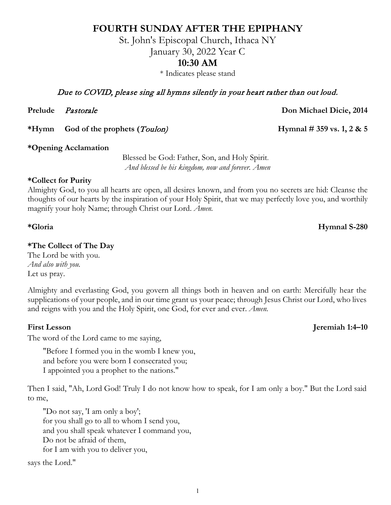# **FOURTH SUNDAY AFTER THE EPIPHANY**

St. John's Episcopal Church, Ithaca NY

January 30, 2022 Year C

# **10:30 AM**

\* Indicates please stand

Due to COVID, please sing all hymns silently in your heart rather than out loud.

**\*Hymn God of the prophets (**Toulon) **Hymnal # 359 vs. 1, 2 & 5**

**\*Opening Acclamation**

Blessed be God: Father, Son, and Holy Spirit. *And blessed be his kingdom, now and forever. Amen*

# **\*Collect for Purity**

Almighty God, to you all hearts are open, all desires known, and from you no secrets are hid: Cleanse the thoughts of our hearts by the inspiration of your Holy Spirit, that we may perfectly love you, and worthily magnify your holy Name; through Christ our Lord. *Amen.*

**\*Gloria Hymnal S-280**

## **\*The Collect of The Day**

The Lord be with you. *And also with you.* Let us pray.

Almighty and everlasting God, you govern all things both in heaven and on earth: Mercifully hear the supplications of your people, and in our time grant us your peace; through Jesus Christ our Lord, who lives and reigns with you and the Holy Spirit, one God, for ever and ever. *Amen.*

The word of the Lord came to me saying,

"Before I formed you in the womb I knew you, and before you were born I consecrated you; I appointed you a prophet to the nations."

Then I said, "Ah, Lord God! Truly I do not know how to speak, for I am only a boy." But the Lord said to me,

"Do not say, 'I am only a boy'; for you shall go to all to whom I send you, and you shall speak whatever I command you, Do not be afraid of them, for I am with you to deliver you,

says the Lord."

First Lesson Jeremiah 1:4–10

**Prelude** Pastorale **Don Michael Dicie, 2014**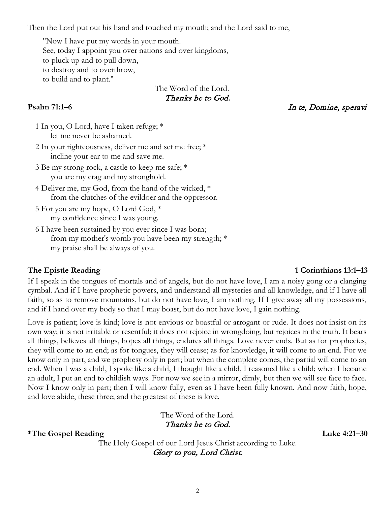Then the Lord put out his hand and touched my mouth; and the Lord said to me,

"Now I have put my words in your mouth. See, today I appoint you over nations and over kingdoms, to pluck up and to pull down, to destroy and to overthrow, to build and to plant."

## The Word of the Lord. Thanks be to God.

#### Psalm 71:1–6 In te, Domine, speravi

1 In you, O Lord, have I taken refuge; \* let me never be ashamed.

2 In your righteousness, deliver me and set me free; \* incline your ear to me and save me.

- 3 Be my strong rock, a castle to keep me safe; \* you are my crag and my stronghold.
- 4 Deliver me, my God, from the hand of the wicked, \* from the clutches of the evildoer and the oppressor.
- 5 For you are my hope, O Lord God, \* my confidence since I was young.
- 6 I have been sustained by you ever since I was born; from my mother's womb you have been my strength; \* my praise shall be always of you.

If I speak in the tongues of mortals and of angels, but do not have love, I am a noisy gong or a clanging cymbal. And if I have prophetic powers, and understand all mysteries and all knowledge, and if I have all faith, so as to remove mountains, but do not have love, I am nothing. If I give away all my possessions, and if I hand over my body so that I may boast, but do not have love, I gain nothing.

Love is patient; love is kind; love is not envious or boastful or arrogant or rude. It does not insist on its own way; it is not irritable or resentful; it does not rejoice in wrongdoing, but rejoices in the truth. It bears all things, believes all things, hopes all things, endures all things. Love never ends. But as for prophecies, they will come to an end; as for tongues, they will cease; as for knowledge, it will come to an end. For we know only in part, and we prophesy only in part; but when the complete comes, the partial will come to an end. When I was a child, I spoke like a child, I thought like a child, I reasoned like a child; when I became an adult, I put an end to childish ways. For now we see in a mirror, dimly, but then we will see face to face. Now I know only in part; then I will know fully, even as I have been fully known. And now faith, hope, and love abide, these three; and the greatest of these is love.

> The Word of the Lord. Thanks be to God.

**\*The Gospel Reading Luke 4:21–30**

The Holy Gospel of our Lord Jesus Christ according to Luke. Glory to you, Lord Christ.

#### **The Epistle Reading 1 Corinthians 13:1–13**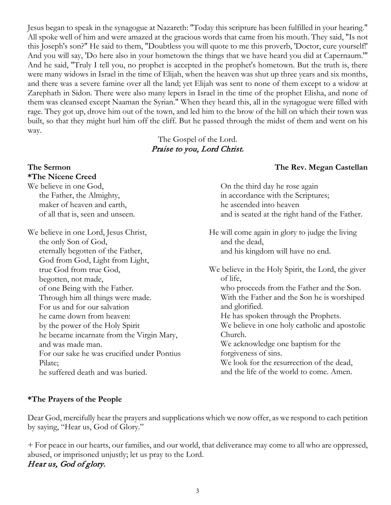Jesus began to speak in the synagogue at Nazareth: "Today this scripture has been fulfilled in your hearing." All spoke well of him and were amazed at the gracious words that came from his mouth. They said, "Is not this Joseph's son?" He said to them, "Doubtless you will quote to me this proverb, 'Doctor, cure yourself!' And you will say, 'Do here also in your hometown the things that we have heard you did at Capernaum.'" And he said, "Truly I tell you, no prophet is accepted in the prophet's hometown. But the truth is, there were many widows in Israel in the time of Elijah, when the heaven was shut up three years and six months, and there was a severe famine over all the land; yet Elijah was sent to none of them except to a widow at Zarephath in Sidon. There were also many lepers in Israel in the time of the prophet Elisha, and none of them was cleansed except Naaman the Syrian." When they heard this, all in the synagogue were filled with rage. They got up, drove him out of the town, and led him to the brow of the hill on which their town was built, so that they might hurl him off the cliff. But he passed through the midst of them and went on his way.

> The Gospel of the Lord. Praise to you, Lord Christ.

#### **\*The Nicene Creed** We believe in one God, the Father, the Almighty, maker of heaven and earth, of all that is, seen and unseen. We believe in one Lord, Jesus Christ, the only Son of God, eternally begotten of the Father, God from God, Light from Light, true God from true God, begotten, not made, of one Being with the Father. Through him all things were made. For us and for our salvation he came down from heaven: by the power of the Holy Spirit he became incarnate from the Virgin Mary, and was made man. For our sake he was crucified under Pontius Pilate; he suffered death and was buried. On the third day he rose again he ascended into heaven and the dead, of life, and glorified. Church. forgiveness of sins. and the life of the world to come. Amen.

### **\*The Prayers of the People**

Dear God, mercifully hear the prayers and supplications which we now offer, as we respond to each petition by saying, "Hear us, God of Glory."

+ For peace in our hearts, our families, and our world, that deliverance may come to all who are oppressed, abused, or imprisoned unjustly; let us pray to the Lord. Hear us, God of glory.

#### **The Sermon The Rev. Megan Castellan**

in accordance with the Scriptures; and is seated at the right hand of the Father. He will come again in glory to judge the living and his kingdom will have no end. We believe in the Holy Spirit, the Lord, the giver who proceeds from the Father and the Son. With the Father and the Son he is worshiped He has spoken through the Prophets. We believe in one holy catholic and apostolic We acknowledge one baptism for the We look for the resurrection of the dead,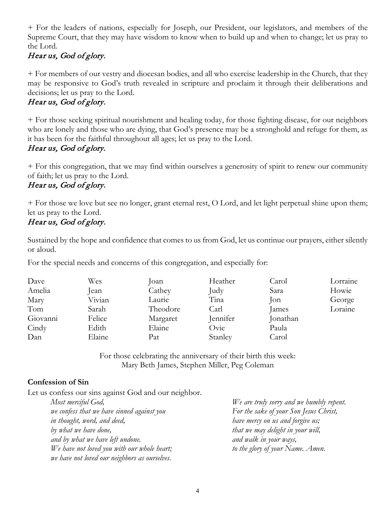+ For the leaders of nations, especially for Joseph, our President, our legislators, and members of the Supreme Court, that they may have wisdom to know when to build up and when to change; let us pray to the Lord.

# Hear us, God of glory.

+ For members of our vestry and diocesan bodies, and all who exercise leadership in the Church, that they may be responsive to God's truth revealed in scripture and proclaim it through their deliberations and decisions; let us pray to the Lord.

## Hear us, God of glory.

+ For those seeking spiritual nourishment and healing today, for those fighting disease, for our neighbors who are lonely and those who are dying, that God's presence may be a stronghold and refuge for them, as it has been for the faithful throughout all ages; let us pray to the Lord.

# Hear us, God of glory.

+ For this congregation, that we may find within ourselves a generosity of spirit to renew our community of faith; let us pray to the Lord.

# Hear us, God of glory.

+ For those we love but see no longer, grant eternal rest, O Lord, and let light perpetual shine upon them; let us pray to the Lord.

# Hear us, God of glory.

Sustained by the hope and confidence that comes to us from God, let us continue our prayers, either silently or aloud.

For the special needs and concerns of this congregation, and especially for:

| Dave     | Wes    | $\alpha$ n | Heather  | Carol    | Lorraine |
|----------|--------|------------|----------|----------|----------|
| Amelia   | Jean   | Cathey     | Judy     | Sara     | Howie    |
| Mary     | Vivian | Laurie     | Tina     | on       | George   |
| Tom      | Sarah  | Theodore   | Carl     | James    | Loraine  |
| Giovanni | Felice | Margaret   | Jennifer | Jonathan |          |
| Cindy    | Edith  | Elaine     | Ovie     | Paula    |          |
| Dan      | Elaine | Pat        | Stanley  | Carol    |          |

For those celebrating the anniversary of their birth this week: Mary Beth James, Stephen Miller, Peg Coleman

## **Confession of Sin**

Let us confess our sins against God and our neighbor.

| Most merciful God,                            | We are truly sorry and we humbly repent. |  |  |
|-----------------------------------------------|------------------------------------------|--|--|
| we confess that we have sinned against you    | For the sake of your Son Jesus Christ,   |  |  |
| in thought, word, and deed,                   | have mercy on us and forgive us;         |  |  |
| by what we have done,                         | that we may delight in your will,        |  |  |
| and by what we have left undone.              | and walk in your ways,                   |  |  |
| We have not loved you with our whole heart;   | to the glory of your Name. Amen.         |  |  |
| we have not loved our neighbors as ourselves. |                                          |  |  |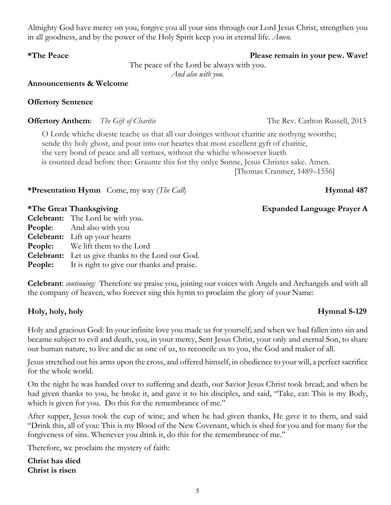Almighty God have mercy on you, forgive you all your sins through our Lord Jesus Christ, strengthen you in all goodness, and by the power of the Holy Spirit keep you in eternal life. *Amen.*

## **\*The Peace Please remain in your pew. Wave!**

The peace of the Lord be always with you. *And also with you.*

#### **Announcements & Welcome**

## **Offertory Sentence**

**Offertory Anthem:** *The Gift of Charitie* **The Rev. Carlton Russell, 2015** 

O Lorde whiche doeste teache us that all our doinges without charitie are nothyng woorthe; sende thy holy ghost, and pour into our heartes that most excellent gyft of charitie, the very bond of peace and all vertues, without the whiche whosoever liueth is counted dead before thee: Graunte this for thy onlye Sonne, Jesus Christes sake. Amen.

[Thomas Cranmer, 1489–1556]

## **\*Presentation Hymn** Come, my way (*The Call*) **Hymnal 487**

### **\*The Great Thanksgiving Expanded Language Prayer A**

**Celebrant:** The Lord be with you. **People:** And also with you **Celebrant:** Lift up your hearts **People:** We lift them to the Lord **Celebrant:** Let us give thanks to the Lord our God. **People:** It is right to give our thanks and praise.

**Celebrant**: *continuing:* Therefore we praise you, joining our voices with Angels and Archangels and with all the company of heaven, who forever sing this hymn to proclaim the glory of your Name:

## **Holy, holy, holy Hymnal S-129**

Holy and gracious God: In your infinite love you made us for yourself; and when we had fallen into sin and became subject to evil and death, you, in your mercy, Sent Jesus Christ, your only and eternal Son, to share our human nature, to live and die as one of us, to reconcile us to you, the God and maker of all.

Jesus stretched out his arms upon the cross, and offered himself, in obedience to your will, a perfect sacrifice for the whole world.

On the night he was handed over to suffering and death, our Savior Jesus Christ took bread; and when he had given thanks to you, he broke it, and gave it to his disciples, and said, "Take, eat: This is my Body, which is given for you. Do this for the remembrance of me."

After supper, Jesus took the cup of wine; and when he had given thanks, He gave it to them, and said "Drink this, all of you: This is my Blood of the New Covenant, which is shed for you and for many for the forgiveness of sins. Whenever you drink it, do this for the remembrance of me."

Therefore, we proclaim the mystery of faith:

**Christ has died Christ is risen**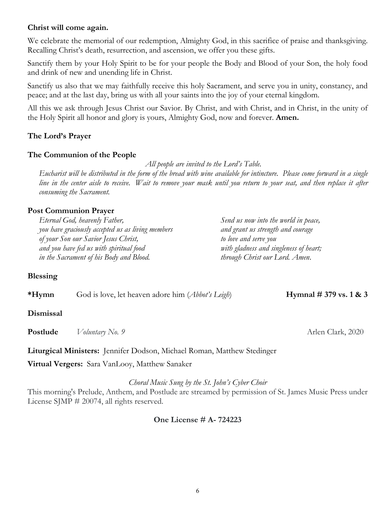#### **Christ will come again.**

We celebrate the memorial of our redemption, Almighty God, in this sacrifice of praise and thanksgiving. Recalling Christ's death, resurrection, and ascension, we offer you these gifts.

Sanctify them by your Holy Spirit to be for your people the Body and Blood of your Son, the holy food and drink of new and unending life in Christ.

Sanctify us also that we may faithfully receive this holy Sacrament, and serve you in unity, constancy, and peace; and at the last day, bring us with all your saints into the joy of your eternal kingdom.

All this we ask through Jesus Christ our Savior. By Christ, and with Christ, and in Christ, in the unity of the Holy Spirit all honor and glory is yours, Almighty God, now and forever. **Amen.**

## **The Lord's Prayer**

#### **The Communion of the People**

*All people are invited to the Lord's Table.*

*Eucharist will be distributed in the form of the bread with wine available for intincture. Please come forward in a single line in the center aisle to receive. Wait to remove your mask until you return to your seat, and then replace it after consuming the Sacrament.* 

### **Post Communion Prayer**

*Eternal God, heavenly Father, you have graciously accepted us as living members of your Son our Savior Jesus Christ, and you have fed us with spiritual food in the Sacrament of his Body and Blood.*

*Send us now into the world in peace, and grant us strength and courage to love and serve you with gladness and singleness of heart; through Christ our Lord. Amen*.

### **Blessing**

**\*Hymn** God is love, let heaven adore him (*Abbot's Leigh*) **Hymnal # 379 vs. 1 & 3**

### **Dismissal**

**Postlude** *Voluntary No. 9* Arlen Clark, 2020

**Liturgical Ministers:** Jennifer Dodson, Michael Roman, Matthew Stedinger

**Virtual Vergers:** Sara VanLooy, Matthew Sanaker

*Choral Music Sung by the St. John's Cyber Choir*

This morning's Prelude, Anthem, and Postlude are streamed by permission of St. James Music Press under License SJMP # 20074, all rights reserved.

### **One License # A- 724223**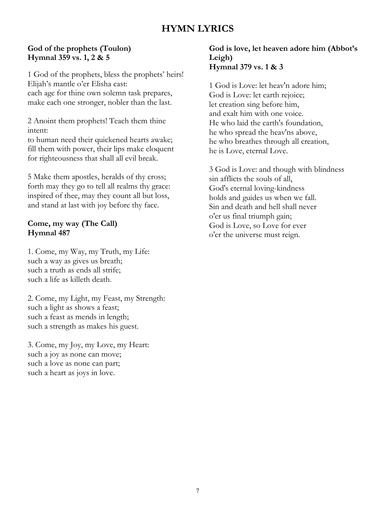# **HYMN LYRICS**

#### **God of the prophets (Toulon) Hymnal 359 vs. 1, 2 & 5**

1 God of the prophets, bless the prophets' heirs! Elijah's mantle o'er Elisha cast: each age for thine own solemn task prepares, make each one stronger, nobler than the last.

2 Anoint them prophets! Teach them thine intent:

to human need their quickened hearts awake; fill them with power, their lips make eloquent for righteousness that shall all evil break.

5 Make them apostles, heralds of thy cross; forth may they go to tell all realms thy grace: inspired of thee, may they count all but loss, and stand at last with joy before thy face.

### **Come, my way (The Call) Hymnal 487**

1. Come, my Way, my Truth, my Life: such a way as gives us breath; such a truth as ends all strife; such a life as killeth death.

2. Come, my Light, my Feast, my Strength: such a light as shows a feast; such a feast as mends in length; such a strength as makes his guest.

3. Come, my Joy, my Love, my Heart: such a joy as none can move; such a love as none can part; such a heart as joys in love.

### **God is love, let heaven adore him (Abbot's Leigh) Hymnal 379 vs. 1 & 3**

1 God is Love: let heav'n adore him; God is Love: let earth rejoice; let creation sing before him, and exalt him with one voice. He who laid the earth's foundation, he who spread the heav'ns above, he who breathes through all creation, he is Love, eternal Love.

3 God is Love: and though with blindness sin afflicts the souls of all, God's eternal loving-kindness holds and guides us when we fall. Sin and death and hell shall never o'er us final triumph gain; God is Love, so Love for ever o'er the universe must reign.